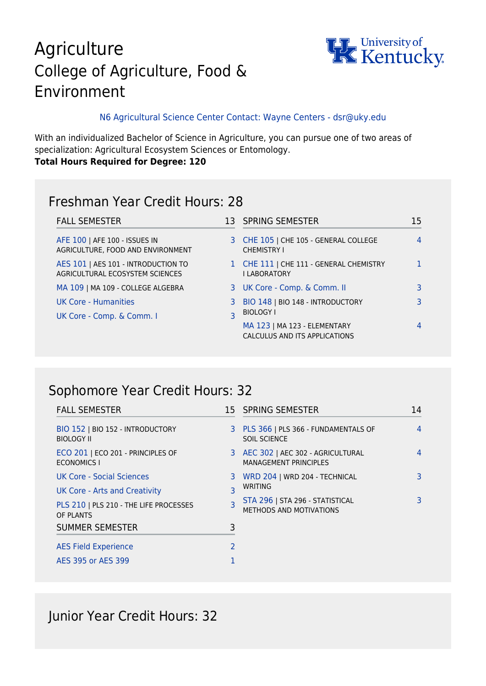# Agriculture College of Agriculture, Food & Environment



#### N6 Agricultural Science Center Contact: Wayne Centers - dsr@uky.edu

With an individualized Bachelor of Science in Agriculture, you can pursue one of two areas of specialization: Agricultural Ecosystem Sciences or Entomology. **Total Hours Required for Degree: 120**

### Freshman Year Credit Hours: 28

| <b>FALL SEMESTER</b>                                                   |                              | 13 SPRING SEMESTER                                             | 15 |
|------------------------------------------------------------------------|------------------------------|----------------------------------------------------------------|----|
| AFE 100   AFE 100 - ISSUES IN<br>AGRICULTURE, FOOD AND ENVIRONMENT     |                              | 3 CHE 105   CHE 105 - GENERAL COLLEGE<br><b>CHEMISTRY I</b>    |    |
| AES 101   AES 101 - INTRODUCTION TO<br>AGRICULTURAL ECOSYSTEM SCIENCES |                              | 1 CHE 111   CHE 111 - GENERAL CHEMISTRY<br><b>I LABORATORY</b> |    |
| MA 109   MA 109 - COLLEGE ALGEBRA                                      |                              | 3 UK Core - Comp. & Comm. II                                   |    |
| UK Core - Humanities<br>UK Core - Comp. & Comm. I                      | 3<br>$\overline{\mathsf{R}}$ | BIO 148   BIO 148 - INTRODUCTORY<br><b>BIOLOGY I</b>           |    |
|                                                                        |                              | MA 123   MA 123 - ELEMENTARY<br>CALCULUS AND ITS APPLICATIONS  |    |

# Sophomore Year Credit Hours: 32

| <b>FALL SEMESTER</b>                                    |                         | 15 SPRING SEMESTER                                                    | 14 |
|---------------------------------------------------------|-------------------------|-----------------------------------------------------------------------|----|
| BIO 152   BIO 152 - INTRODUCTORY<br><b>BIOLOGY II</b>   | 3                       | PLS 366   PLS 366 - FUNDAMENTALS OF<br>SOIL SCIENCE                   | 4  |
| ECO 201   ECO 201 - PRINCIPLES OF<br><b>ECONOMICS I</b> |                         | 3 AEC 302   AEC 302 - AGRICULTURAL<br><b>MANAGEMENT PRINCIPLES</b>    | 4  |
| UK Core - Social Sciences                               | 3                       | WRD 204   WRD 204 - TECHNICAL                                         | 3  |
| UK Core - Arts and Creativity                           |                         | WRITING<br>STA 296   STA 296 - STATISTICAL<br>METHODS AND MOTIVATIONS | ٦  |
| PLS 210   PLS 210 - THE LIFE PROCESSES<br>OF PLANTS     | $\overline{\mathsf{R}}$ |                                                                       |    |
| <b>SUMMER SEMESTER</b>                                  | 3                       |                                                                       |    |
| <b>AES Field Experience</b>                             | 2                       |                                                                       |    |
| AES 395 or AES 399                                      |                         |                                                                       |    |

Junior Year Credit Hours: 32